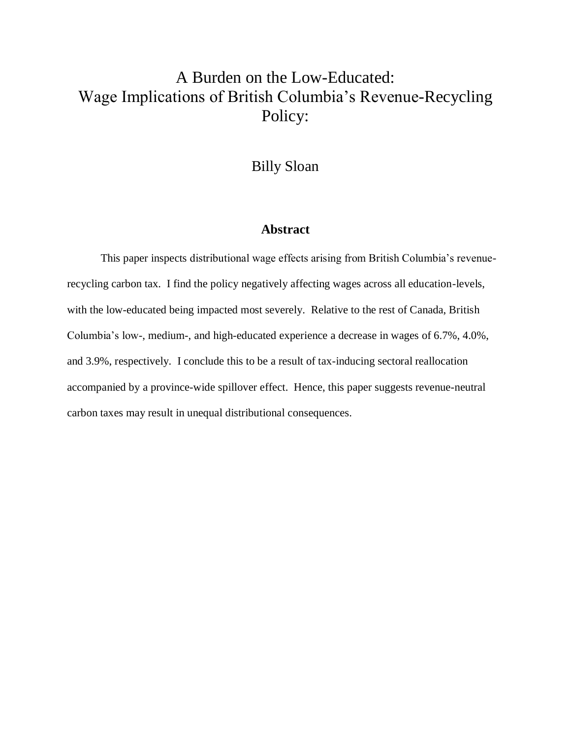# A Burden on the Low-Educated: Wage Implications of British Columbia's Revenue-Recycling Policy:

# Billy Sloan

#### **Abstract**

This paper inspects distributional wage effects arising from British Columbia's revenuerecycling carbon tax. I find the policy negatively affecting wages across all education-levels, with the low-educated being impacted most severely. Relative to the rest of Canada, British Columbia's low-, medium-, and high-educated experience a decrease in wages of 6.7%, 4.0%, and 3.9%, respectively. I conclude this to be a result of tax-inducing sectoral reallocation accompanied by a province-wide spillover effect. Hence, this paper suggests revenue-neutral carbon taxes may result in unequal distributional consequences.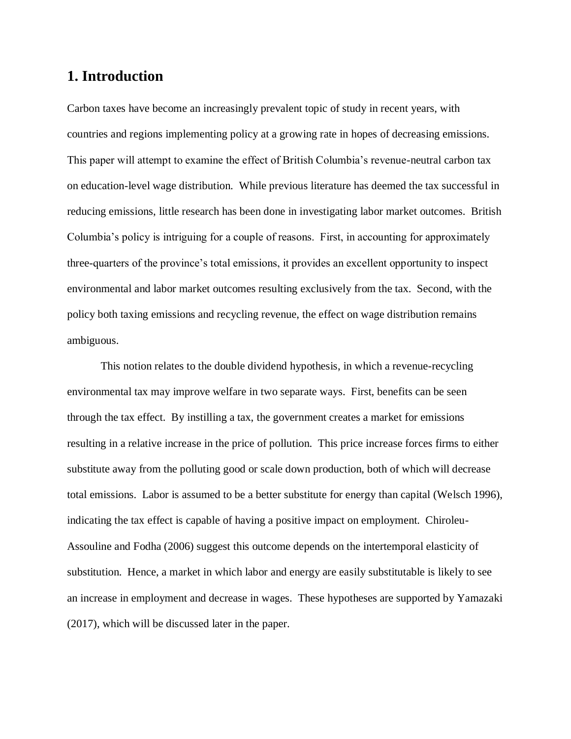# **1. Introduction**

Carbon taxes have become an increasingly prevalent topic of study in recent years, with countries and regions implementing policy at a growing rate in hopes of decreasing emissions. This paper will attempt to examine the effect of British Columbia's revenue-neutral carbon tax on education-level wage distribution. While previous literature has deemed the tax successful in reducing emissions, little research has been done in investigating labor market outcomes. British Columbia's policy is intriguing for a couple of reasons. First, in accounting for approximately three-quarters of the province's total emissions, it provides an excellent opportunity to inspect environmental and labor market outcomes resulting exclusively from the tax. Second, with the policy both taxing emissions and recycling revenue, the effect on wage distribution remains ambiguous.

This notion relates to the double dividend hypothesis, in which a revenue-recycling environmental tax may improve welfare in two separate ways. First, benefits can be seen through the tax effect. By instilling a tax, the government creates a market for emissions resulting in a relative increase in the price of pollution. This price increase forces firms to either substitute away from the polluting good or scale down production, both of which will decrease total emissions. Labor is assumed to be a better substitute for energy than capital (Welsch 1996), indicating the tax effect is capable of having a positive impact on employment. Chiroleu-Assouline and Fodha (2006) suggest this outcome depends on the intertemporal elasticity of substitution. Hence, a market in which labor and energy are easily substitutable is likely to see an increase in employment and decrease in wages. These hypotheses are supported by Yamazaki (2017), which will be discussed later in the paper.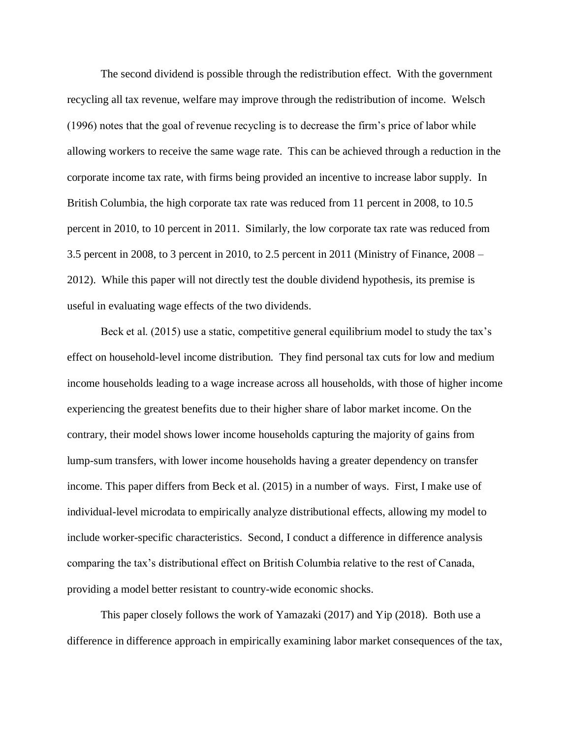The second dividend is possible through the redistribution effect. With the government recycling all tax revenue, welfare may improve through the redistribution of income. Welsch (1996) notes that the goal of revenue recycling is to decrease the firm's price of labor while allowing workers to receive the same wage rate. This can be achieved through a reduction in the corporate income tax rate, with firms being provided an incentive to increase labor supply. In British Columbia, the high corporate tax rate was reduced from 11 percent in 2008, to 10.5 percent in 2010, to 10 percent in 2011. Similarly, the low corporate tax rate was reduced from 3.5 percent in 2008, to 3 percent in 2010, to 2.5 percent in 2011 (Ministry of Finance, 2008 – 2012). While this paper will not directly test the double dividend hypothesis, its premise is useful in evaluating wage effects of the two dividends.

Beck et al. (2015) use a static, competitive general equilibrium model to study the tax's effect on household-level income distribution. They find personal tax cuts for low and medium income households leading to a wage increase across all households, with those of higher income experiencing the greatest benefits due to their higher share of labor market income. On the contrary, their model shows lower income households capturing the majority of gains from lump-sum transfers, with lower income households having a greater dependency on transfer income. This paper differs from Beck et al. (2015) in a number of ways. First, I make use of individual-level microdata to empirically analyze distributional effects, allowing my model to include worker-specific characteristics. Second, I conduct a difference in difference analysis comparing the tax's distributional effect on British Columbia relative to the rest of Canada, providing a model better resistant to country-wide economic shocks.

This paper closely follows the work of Yamazaki (2017) and Yip (2018). Both use a difference in difference approach in empirically examining labor market consequences of the tax,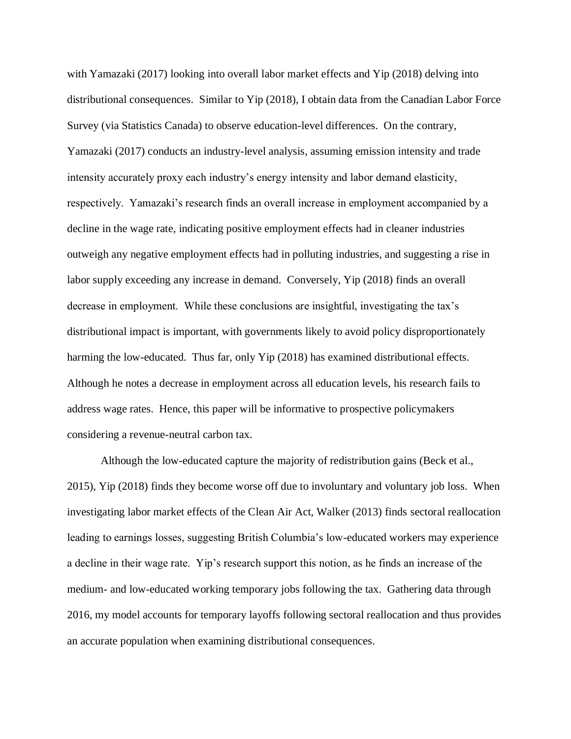with Yamazaki (2017) looking into overall labor market effects and Yip (2018) delving into distributional consequences. Similar to Yip (2018), I obtain data from the Canadian Labor Force Survey (via Statistics Canada) to observe education-level differences. On the contrary, Yamazaki (2017) conducts an industry-level analysis, assuming emission intensity and trade intensity accurately proxy each industry's energy intensity and labor demand elasticity, respectively. Yamazaki's research finds an overall increase in employment accompanied by a decline in the wage rate, indicating positive employment effects had in cleaner industries outweigh any negative employment effects had in polluting industries, and suggesting a rise in labor supply exceeding any increase in demand. Conversely, Yip (2018) finds an overall decrease in employment. While these conclusions are insightful, investigating the tax's distributional impact is important, with governments likely to avoid policy disproportionately harming the low-educated. Thus far, only Yip (2018) has examined distributional effects. Although he notes a decrease in employment across all education levels, his research fails to address wage rates. Hence, this paper will be informative to prospective policymakers considering a revenue-neutral carbon tax.

Although the low-educated capture the majority of redistribution gains (Beck et al., 2015), Yip (2018) finds they become worse off due to involuntary and voluntary job loss. When investigating labor market effects of the Clean Air Act, Walker (2013) finds sectoral reallocation leading to earnings losses, suggesting British Columbia's low-educated workers may experience a decline in their wage rate. Yip's research support this notion, as he finds an increase of the medium- and low-educated working temporary jobs following the tax. Gathering data through 2016, my model accounts for temporary layoffs following sectoral reallocation and thus provides an accurate population when examining distributional consequences.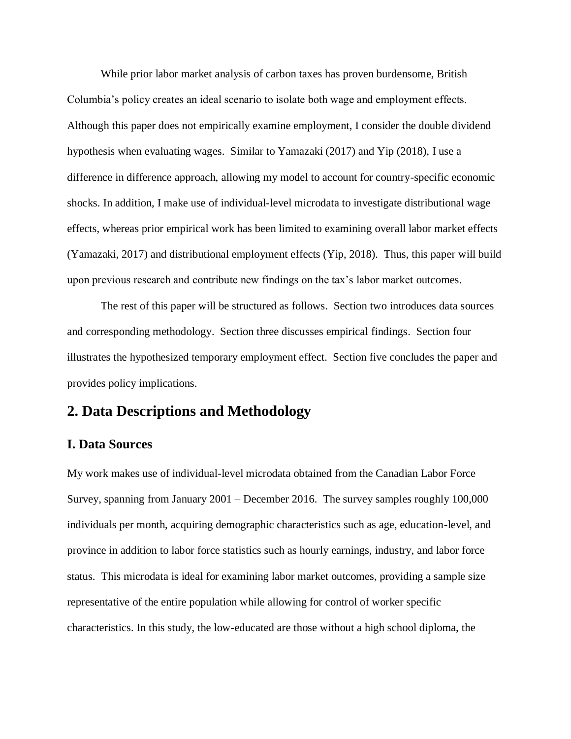While prior labor market analysis of carbon taxes has proven burdensome, British Columbia's policy creates an ideal scenario to isolate both wage and employment effects. Although this paper does not empirically examine employment, I consider the double dividend hypothesis when evaluating wages. Similar to Yamazaki (2017) and Yip (2018), I use a difference in difference approach, allowing my model to account for country-specific economic shocks. In addition, I make use of individual-level microdata to investigate distributional wage effects, whereas prior empirical work has been limited to examining overall labor market effects (Yamazaki, 2017) and distributional employment effects (Yip, 2018). Thus, this paper will build upon previous research and contribute new findings on the tax's labor market outcomes.

The rest of this paper will be structured as follows. Section two introduces data sources and corresponding methodology. Section three discusses empirical findings. Section four illustrates the hypothesized temporary employment effect. Section five concludes the paper and provides policy implications.

# **2. Data Descriptions and Methodology**

#### **I. Data Sources**

My work makes use of individual-level microdata obtained from the Canadian Labor Force Survey, spanning from January 2001 – December 2016. The survey samples roughly 100,000 individuals per month, acquiring demographic characteristics such as age, education-level, and province in addition to labor force statistics such as hourly earnings, industry, and labor force status. This microdata is ideal for examining labor market outcomes, providing a sample size representative of the entire population while allowing for control of worker specific characteristics. In this study, the low-educated are those without a high school diploma, the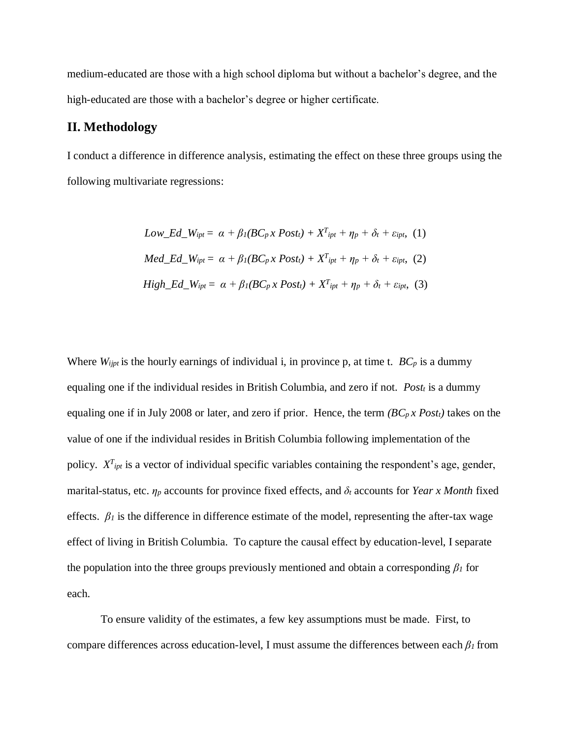medium-educated are those with a high school diploma but without a bachelor's degree, and the high-educated are those with a bachelor's degree or higher certificate.

#### **II. Methodology**

I conduct a difference in difference analysis, estimating the effect on these three groups using the following multivariate regressions:

$$
Low\_Ed\_W_{ipt} = \alpha + \beta_I (BC_p \times Post_t) + X^T_{ipt} + \eta_p + \delta_t + \varepsilon_{ipt}, (1)
$$
  

$$
Med\_Ed\_W_{ipt} = \alpha + \beta_I (BC_p \times Post_t) + X^T_{ipt} + \eta_p + \delta_t + \varepsilon_{ipt}, (2)
$$
  

$$
High\_Ed\_W_{ipt} = \alpha + \beta_I (BC_p \times Post_t) + X^T_{ipt} + \eta_p + \delta_t + \varepsilon_{ipt}, (3)
$$

Where  $W_{ijpt}$  is the hourly earnings of individual i, in province p, at time t.  $BC_p$  is a dummy equaling one if the individual resides in British Columbia, and zero if not. *Post<sup>t</sup>* is a dummy equaling one if in July 2008 or later, and zero if prior. Hence, the term *(BCp x Postt)* takes on the value of one if the individual resides in British Columbia following implementation of the policy.  $X^{T}$ <sub>ipt</sub> is a vector of individual specific variables containing the respondent's age, gender, marital-status, etc. *η<sup>p</sup>* accounts for province fixed effects, and *δ<sup>t</sup>* accounts for *Year x Month* fixed effects.  $\beta_l$  is the difference in difference estimate of the model, representing the after-tax wage effect of living in British Columbia. To capture the causal effect by education-level, I separate the population into the three groups previously mentioned and obtain a corresponding *β<sup>1</sup>* for each.

To ensure validity of the estimates, a few key assumptions must be made. First, to compare differences across education-level, I must assume the differences between each *β<sup>1</sup>* from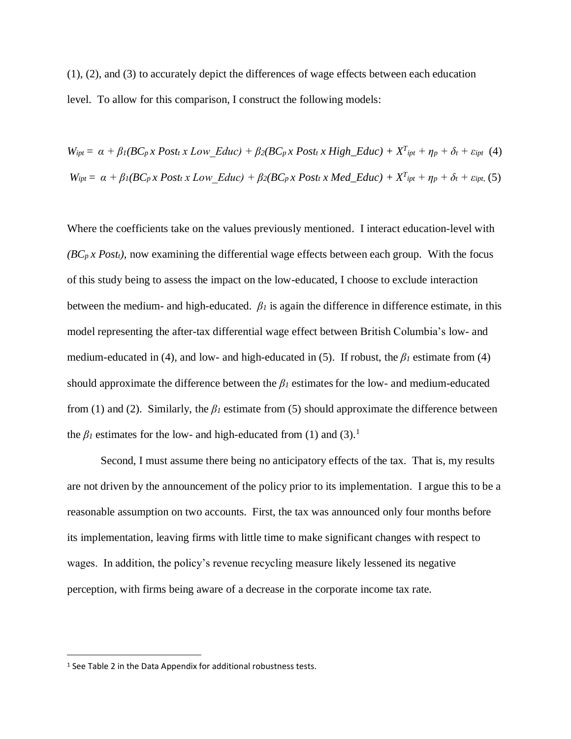(1), (2), and (3) to accurately depict the differences of wage effects between each education level. To allow for this comparison, I construct the following models:

$$
W_{ipt} = \alpha + \beta_l (BC_p x Post_t x Low\_Educ) + \beta_2 (BC_p x Post_t x High\_Educ) + X^T_{ipt} + \eta_p + \delta_t + \varepsilon_{ipt} (4)
$$
  

$$
W_{ipt} = \alpha + \beta_l (BC_p x Post_t x Low\_Educ) + \beta_2 (BC_p x Post_t x Med\_Educ) + X^T_{ipt} + \eta_p + \delta_t + \varepsilon_{ipt} (5)
$$

Where the coefficients take on the values previously mentioned. I interact education-level with  $(BC_p x Post_t)$ , now examining the differential wage effects between each group. With the focus of this study being to assess the impact on the low-educated, I choose to exclude interaction between the medium- and high-educated.  $\beta_l$  is again the difference in difference estimate, in this model representing the after-tax differential wage effect between British Columbia's low- and medium-educated in (4), and low- and high-educated in (5). If robust, the  $\beta_l$  estimate from (4) should approximate the difference between the  $\beta_l$  estimates for the low- and medium-educated from (1) and (2). Similarly, the  $\beta$ *l* estimate from (5) should approximate the difference between the  $\beta_l$  estimates for the low- and high-educated from (1) and (3).<sup>1</sup>

Second, I must assume there being no anticipatory effects of the tax. That is, my results are not driven by the announcement of the policy prior to its implementation. I argue this to be a reasonable assumption on two accounts. First, the tax was announced only four months before its implementation, leaving firms with little time to make significant changes with respect to wages. In addition, the policy's revenue recycling measure likely lessened its negative perception, with firms being aware of a decrease in the corporate income tax rate.

 $\overline{a}$ 

<sup>1</sup> See Table 2 in the Data Appendix for additional robustness tests.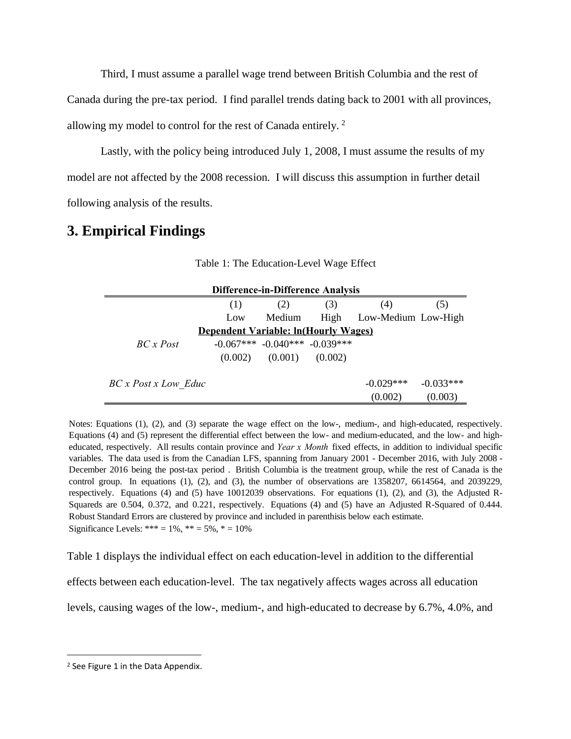Third, I must assume a parallel wage trend between British Columbia and the rest of Canada during the pre-tax period. I find parallel trends dating back to 2001 with all provinces, allowing my model to control for the rest of Canada entirely. <sup>2</sup>

Lastly, with the policy being introduced July 1, 2008, I must assume the results of my model are not affected by the 2008 recession. I will discuss this assumption in further detail following analysis of the results.

# **3. Empirical Findings**

| <b>Difference-in-Difference Analysis</b> |         |                                     |         |                          |                        |  |  |  |  |
|------------------------------------------|---------|-------------------------------------|---------|--------------------------|------------------------|--|--|--|--|
|                                          | (1)     | (2)                                 | (3)     | (4)                      | (5)                    |  |  |  |  |
|                                          | Low     | Medium                              |         | High Low-Medium Low-High |                        |  |  |  |  |
| Dependent Variable: ln(Hourly Wages)     |         |                                     |         |                          |                        |  |  |  |  |
| $BC \times Post$                         |         | $-0.067***$ $-0.040***$ $-0.039***$ |         |                          |                        |  |  |  |  |
|                                          | (0.002) | (0.001)                             | (0.002) |                          |                        |  |  |  |  |
| BC x Post x Low Educ                     |         |                                     |         | $-0.029***$<br>(0.002)   | $-0.033***$<br>(0.003) |  |  |  |  |

Table 1: The Education-Level Wage Effect

Notes: Equations (1), (2), and (3) separate the wage effect on the low-, medium-, and high-educated, respectively. Equations (4) and (5) represent the differential effect between the low- and medium-educated, and the low- and high-Educated, respectively. All results contain province and *Year x Month* fixed effects, in addition to individual specific variables. The data used is from the Canadian LFS, spanning from January 2001 - December 2016, w variables. The data used is from the Canadian LFS, spanning from January 2001 - December 2016, with July 2008 - December 2016 being the post-tax period. British Columbia is the treatment group, while the rest of Canada is December 2016 being the post-tax period . British Columbia is the treatment group, while the rest of Canada is the control group. In equations  $(1)$ ,  $(2)$ , and  $(3)$ , the number of observations are 1358207, 6614564, and 2039229, respectively. Equations (4) and (5) have 10012039 observations. For equations (1), (2), and (3), the Adjusted R-Squareds are 0.504, 0.372, and 0.221, respectively. Equations (4) and (5) have an Adjusted R-Squared of 0.444. Robust Standard Errors are clustered by province and included in parenthisis below each estimate. Significance Levels: \*\*\* =  $1\%$ , \*\* =  $5\%$ , \* =  $10\%$ 

Table 1 displays the individual effect on each education-level in addition to the differential

effects between each education-level. The tax negatively affects wages across all education

levels, causing wages of the low-, medium-, and high-educated to decrease by 6.7%, 4.0%, and

 $\overline{a}$ 

<sup>&</sup>lt;sup>2</sup> See Figure 1 in the Data Appendix.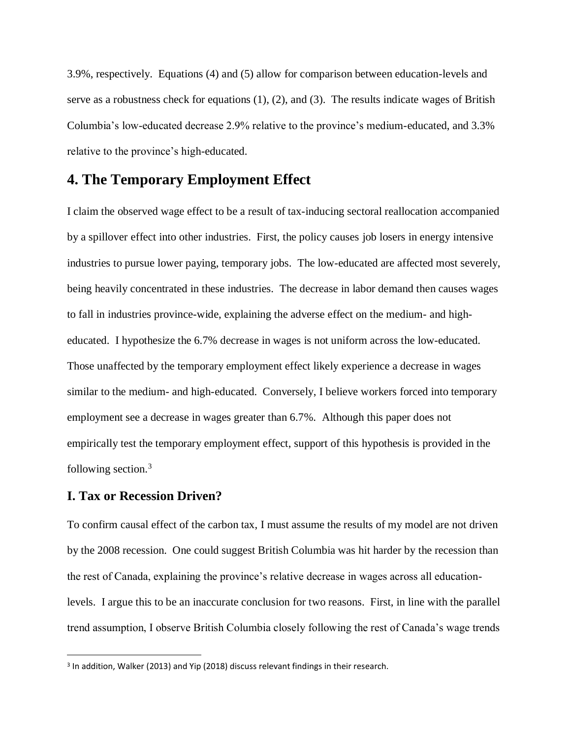3.9%, respectively. Equations (4) and (5) allow for comparison between education-levels and serve as a robustness check for equations (1), (2), and (3). The results indicate wages of British Columbia's low-educated decrease 2.9% relative to the province's medium-educated, and 3.3% relative to the province's high-educated.

### **4. The Temporary Employment Effect**

I claim the observed wage effect to be a result of tax-inducing sectoral reallocation accompanied by a spillover effect into other industries. First, the policy causes job losers in energy intensive industries to pursue lower paying, temporary jobs. The low-educated are affected most severely, being heavily concentrated in these industries. The decrease in labor demand then causes wages to fall in industries province-wide, explaining the adverse effect on the medium- and higheducated. I hypothesize the 6.7% decrease in wages is not uniform across the low-educated. Those unaffected by the temporary employment effect likely experience a decrease in wages similar to the medium- and high-educated. Conversely, I believe workers forced into temporary employment see a decrease in wages greater than 6.7%. Although this paper does not empirically test the temporary employment effect, support of this hypothesis is provided in the following section.<sup>3</sup>

#### **I. Tax or Recession Driven?**

 $\overline{a}$ 

To confirm causal effect of the carbon tax, I must assume the results of my model are not driven by the 2008 recession. One could suggest British Columbia was hit harder by the recession than the rest of Canada, explaining the province's relative decrease in wages across all educationlevels. I argue this to be an inaccurate conclusion for two reasons. First, in line with the parallel trend assumption, I observe British Columbia closely following the rest of Canada's wage trends

<sup>&</sup>lt;sup>3</sup> In addition, Walker (2013) and Yip (2018) discuss relevant findings in their research.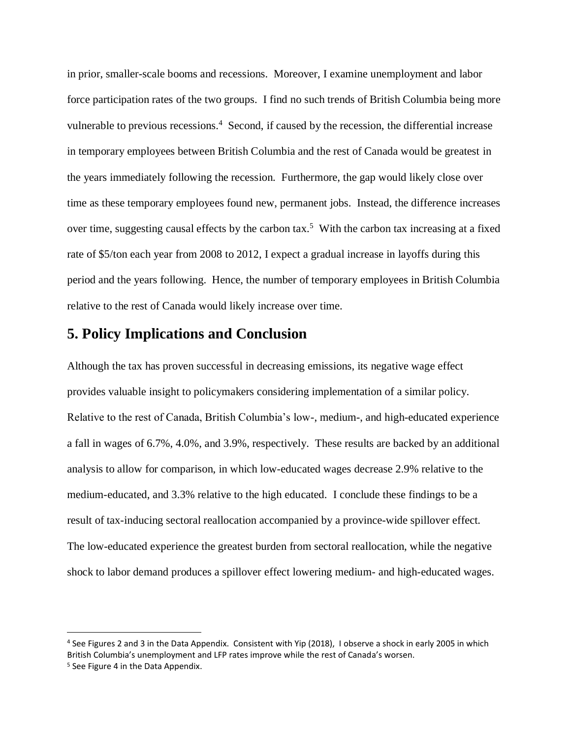in prior, smaller-scale booms and recessions. Moreover, I examine unemployment and labor force participation rates of the two groups. I find no such trends of British Columbia being more vulnerable to previous recessions.<sup>4</sup> Second, if caused by the recession, the differential increase in temporary employees between British Columbia and the rest of Canada would be greatest in the years immediately following the recession. Furthermore, the gap would likely close over time as these temporary employees found new, permanent jobs. Instead, the difference increases over time, suggesting causal effects by the carbon tax.<sup>5</sup> With the carbon tax increasing at a fixed rate of \$5/ton each year from 2008 to 2012, I expect a gradual increase in layoffs during this period and the years following. Hence, the number of temporary employees in British Columbia relative to the rest of Canada would likely increase over time.

## **5. Policy Implications and Conclusion**

Although the tax has proven successful in decreasing emissions, its negative wage effect provides valuable insight to policymakers considering implementation of a similar policy. Relative to the rest of Canada, British Columbia's low-, medium-, and high-educated experience a fall in wages of 6.7%, 4.0%, and 3.9%, respectively. These results are backed by an additional analysis to allow for comparison, in which low-educated wages decrease 2.9% relative to the medium-educated, and 3.3% relative to the high educated. I conclude these findings to be a result of tax-inducing sectoral reallocation accompanied by a province-wide spillover effect. The low-educated experience the greatest burden from sectoral reallocation, while the negative shock to labor demand produces a spillover effect lowering medium- and high-educated wages.

 $\overline{a}$ 

<sup>4</sup> See Figures 2 and 3 in the Data Appendix. Consistent with Yip (2018), I observe a shock in early 2005 in which British Columbia's unemployment and LFP rates improve while the rest of Canada's worsen.

<sup>&</sup>lt;sup>5</sup> See Figure 4 in the Data Appendix.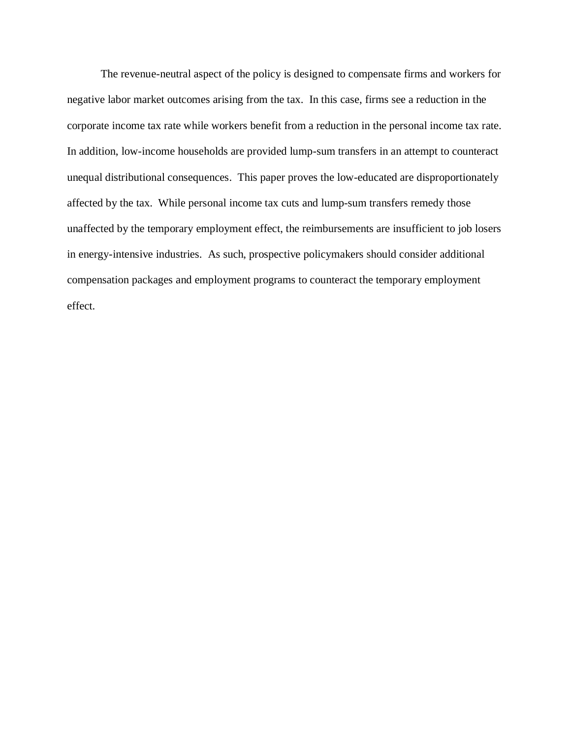The revenue-neutral aspect of the policy is designed to compensate firms and workers for negative labor market outcomes arising from the tax. In this case, firms see a reduction in the corporate income tax rate while workers benefit from a reduction in the personal income tax rate. In addition, low-income households are provided lump-sum transfers in an attempt to counteract unequal distributional consequences. This paper proves the low-educated are disproportionately affected by the tax. While personal income tax cuts and lump-sum transfers remedy those unaffected by the temporary employment effect, the reimbursements are insufficient to job losers in energy-intensive industries. As such, prospective policymakers should consider additional compensation packages and employment programs to counteract the temporary employment effect.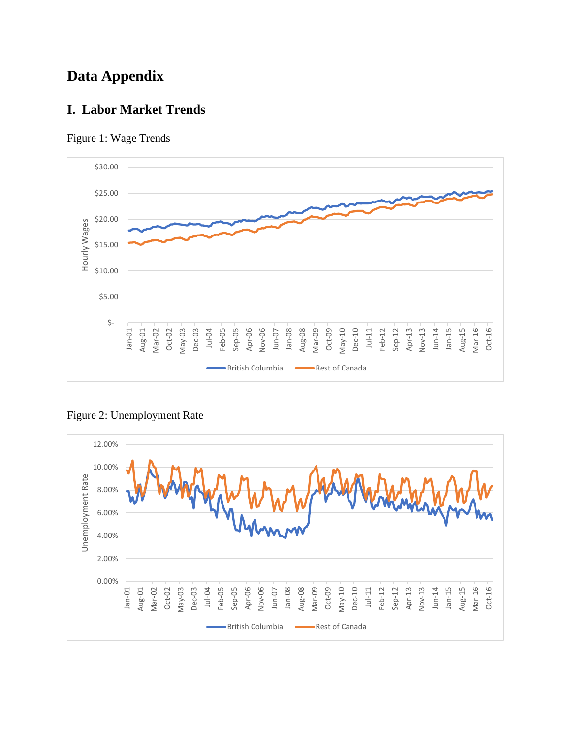# **Data Appendix**

# **I. Labor Market Trends**





Figure 2: Unemployment Rate

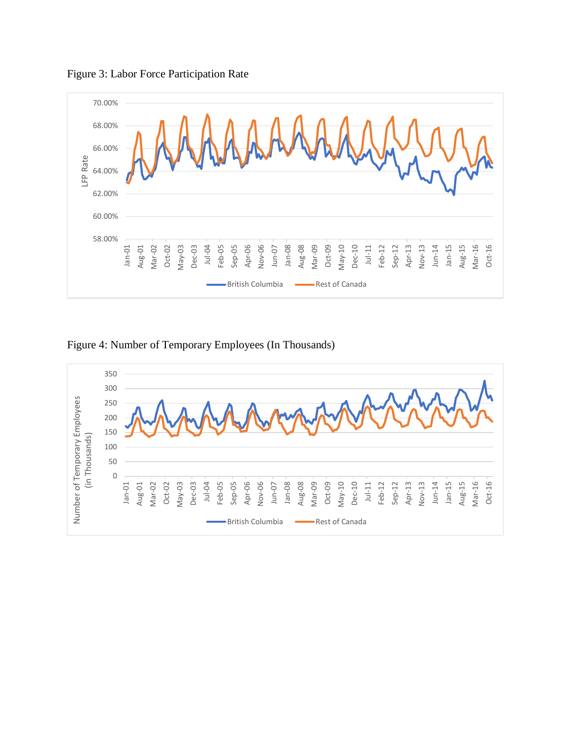

Figure 3: Labor Force Participation Rate



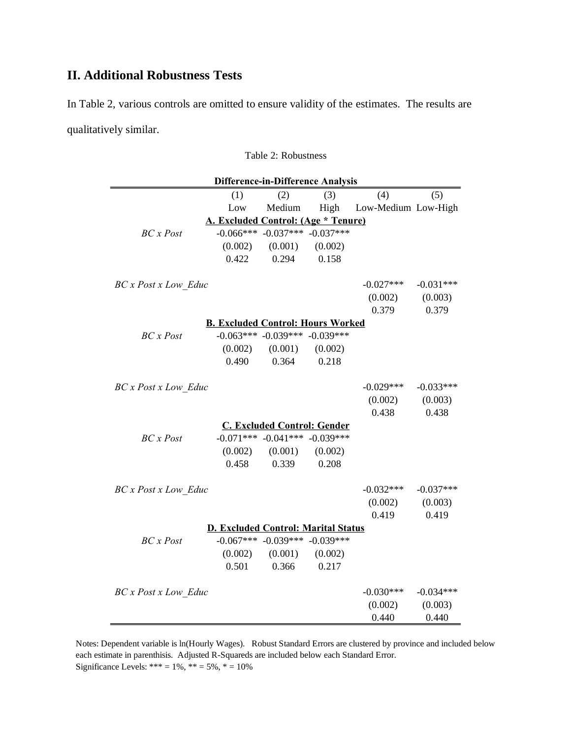# **II. Additional Robustness Tests**

In Table 2, various controls are omitted to ensure validity of the estimates. The results are qualitatively similar.

Table 2: Robustness

| <b>Difference-in-Difference Analysis</b>   |         |                                     |         |                     |             |  |  |  |
|--------------------------------------------|---------|-------------------------------------|---------|---------------------|-------------|--|--|--|
|                                            | (1)     | (2)                                 | (3)     | (4)                 | (5)         |  |  |  |
|                                            | Low     | Medium                              | High    | Low-Medium Low-High |             |  |  |  |
| A. Excluded Control: (Age * Tenure)        |         |                                     |         |                     |             |  |  |  |
| BC x Post                                  |         | $-0.066***$ $-0.037***$ $-0.037***$ |         |                     |             |  |  |  |
|                                            | (0.002) | (0.001)                             | (0.002) |                     |             |  |  |  |
|                                            | 0.422   | 0.294                               | 0.158   |                     |             |  |  |  |
| <b>BC</b> x Post x Low Educ                |         |                                     |         | $-0.027***$         | $-0.031***$ |  |  |  |
|                                            |         |                                     |         | (0.002)             | (0.003)     |  |  |  |
|                                            |         |                                     |         | 0.379               | 0.379       |  |  |  |
| <b>B. Excluded Control: Hours Worked</b>   |         |                                     |         |                     |             |  |  |  |
| BC x Post                                  |         | $-0.063***$ $-0.039***$ $-0.039***$ |         |                     |             |  |  |  |
|                                            | (0.002) | (0.001)                             | (0.002) |                     |             |  |  |  |
|                                            | 0.490   | 0.364                               | 0.218   |                     |             |  |  |  |
| <b>BC</b> x Post x Low Educ                |         |                                     |         | $-0.029***$         | $-0.033***$ |  |  |  |
|                                            |         |                                     |         | (0.002)             | (0.003)     |  |  |  |
|                                            |         |                                     |         | 0.438               | 0.438       |  |  |  |
| <b>C. Excluded Control: Gender</b>         |         |                                     |         |                     |             |  |  |  |
| $BC \times Post$                           |         | $-0.071***$ $-0.041***$ $-0.039***$ |         |                     |             |  |  |  |
|                                            | (0.002) | (0.001)                             | (0.002) |                     |             |  |  |  |
|                                            | 0.458   | 0.339                               | 0.208   |                     |             |  |  |  |
| <b>BC</b> x Post x Low Educ                |         |                                     |         | $-0.032***$         | $-0.037***$ |  |  |  |
|                                            |         |                                     |         | (0.002)             | (0.003)     |  |  |  |
|                                            |         |                                     |         | 0.419               | 0.419       |  |  |  |
| <b>D. Excluded Control: Marital Status</b> |         |                                     |         |                     |             |  |  |  |
| $BC \times Post$                           |         | $-0.067***$ $-0.039***$ $-0.039***$ |         |                     |             |  |  |  |
|                                            | (0.002) | (0.001)                             | (0.002) |                     |             |  |  |  |
|                                            | 0.501   | 0.366                               | 0.217   |                     |             |  |  |  |
| <b>BC</b> x Post x Low Educ                |         |                                     |         | $-0.030***$         | $-0.034***$ |  |  |  |
|                                            |         |                                     |         | (0.002)             | (0.003)     |  |  |  |
|                                            |         |                                     |         | 0.440               | 0.440       |  |  |  |

Notes: Dependent variable is ln(Hourly Wages). Robust Standard Errors are clustered by province and included below each estimate in parenthisis. Adjusted R-Squareds are included below each Standard Error. Significance Levels: \*\*\* =  $1\%$ , \*\* =  $5\%$ , \* =  $10\%$